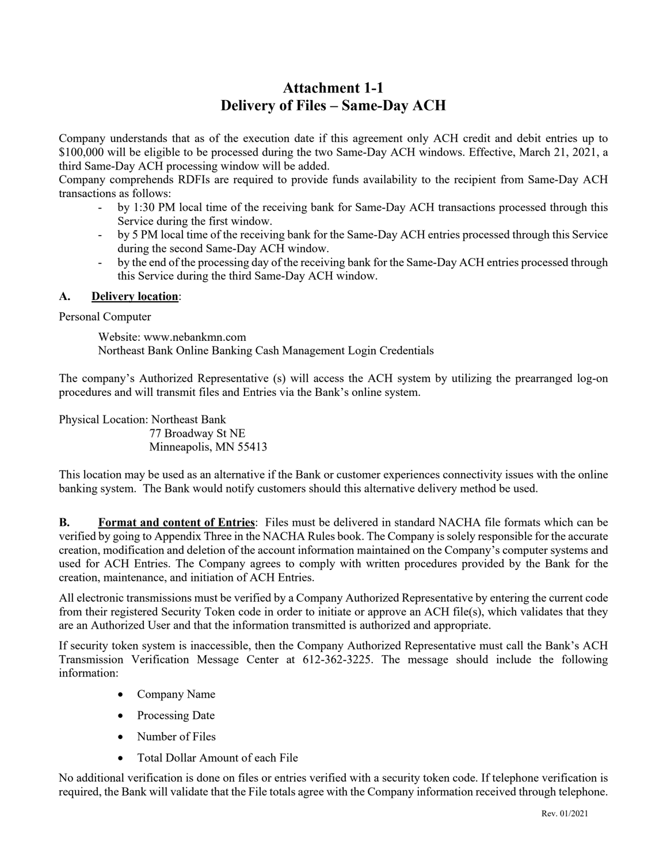## **Attachment 1-1 Delivery of Files – Same-Day ACH**

Company understands that as of the execution date if this agreement only ACH credit and debit entries up to \$100,000 will be eligible to be processed during the two Same-Day ACH windows. Effective, March 21, 2021, a third Same-Day ACH processing window will be added.

Company comprehends RDFIs are required to provide funds availability to the recipient from Same-Day ACH transactions as follows:

- by 1:30 PM local time of the receiving bank for Same-Day ACH transactions processed through this Service during the first window.
- by 5 PM local time of the receiving bank for the Same-Day ACH entries processed through this Service during the second Same-Day ACH window.
- by the end of the processing day of the receiving bank for the Same-Day ACH entries processed through this Service during the third Same-Day ACH window.

## **A. Delivery location**:

Personal Computer

Website: www.nebankmn.com Northeast Bank Online Banking Cash Management Login Credentials

The company's Authorized Representative (s) will access the ACH system by utilizing the prearranged log-on procedures and will transmit files and Entries via the Bank's online system.

Physical Location: Northeast Bank

 77 Broadway St NE Minneapolis, MN 55413

This location may be used as an alternative if the Bank or customer experiences connectivity issues with the online banking system. The Bank would notify customers should this alternative delivery method be used.

**B. Format and content of Entries**: Files must be delivered in standard NACHA file formats which can be verified by going to Appendix Three in the NACHA Rules book. The Company is solely responsible for the accurate creation, modification and deletion of the account information maintained on the Company's computer systems and used for ACH Entries. The Company agrees to comply with written procedures provided by the Bank for the creation, maintenance, and initiation of ACH Entries.

All electronic transmissions must be verified by a Company Authorized Representative by entering the current code from their registered Security Token code in order to initiate or approve an ACH file(s), which validates that they are an Authorized User and that the information transmitted is authorized and appropriate.

If security token system is inaccessible, then the Company Authorized Representative must call the Bank's ACH Transmission Verification Message Center at 612-362-3225. The message should include the following information:

- Company Name
- Processing Date
- Number of Files
- Total Dollar Amount of each File

No additional verification is done on files or entries verified with a security token code. If telephone verification is required, the Bank will validate that the File totals agree with the Company information received through telephone.